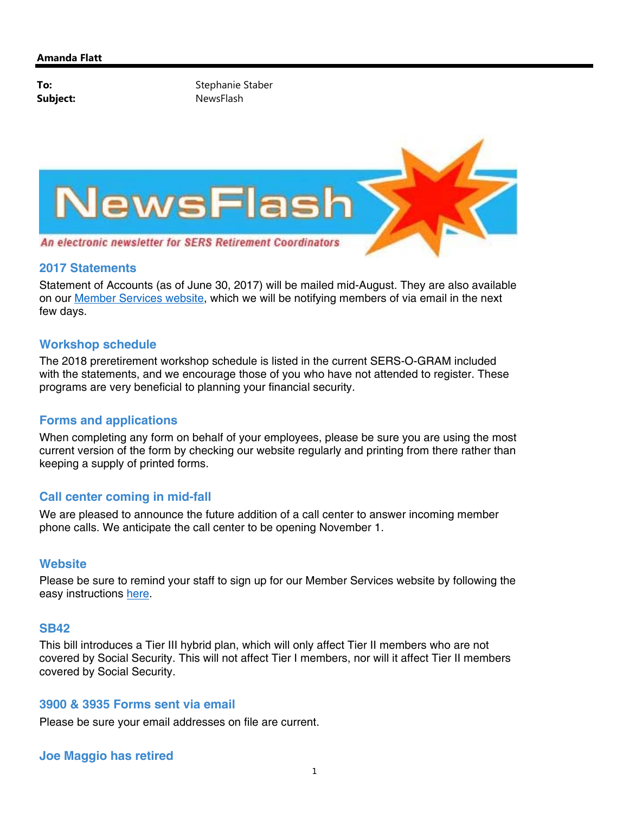

### **2017 Statements**

Statement of Accounts (as of June 30, 2017) will be mailed mid-August. They are also available on our Member Services website, which we will be notifying members of via email in the next few days.

# **Workshop schedule**

The 2018 preretirement workshop schedule is listed in the current SERS-O-GRAM included with the statements, and we encourage those of you who have not attended to register. These programs are very beneficial to planning your financial security.

### **Forms and applications**

When completing any form on behalf of your employees, please be sure you are using the most current version of the form by checking our website regularly and printing from there rather than keeping a supply of printed forms.

# **Call center coming in mid-fall**

We are pleased to announce the future addition of a call center to answer incoming member phone calls. We anticipate the call center to be opening November 1.

### **Website**

Please be sure to remind your staff to sign up for our Member Services website by following the easy instructions here.

#### **SB42**

This bill introduces a Tier III hybrid plan, which will only affect Tier II members who are not covered by Social Security. This will not affect Tier I members, nor will it affect Tier II members covered by Social Security.

### **3900 & 3935 Forms sent via email**

Please be sure your email addresses on file are current.

# **Joe Maggio has retired**